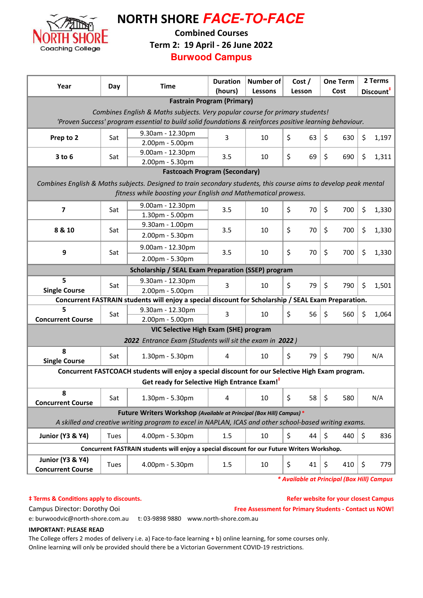

NORTH SHORE **FACE-TO-FACE**

### Combined Courses

Term 2: 19 April - 26 June 2022

**Burwood Campus**

| Year                                                                                                    | Day  | <b>Time</b>                                                                                                      | <b>Duration</b><br>(hours) | <b>Number of</b><br>Lessons | Cost/<br>Lesson | <b>One Term</b><br>Cost | 2 Terms<br>Discount <sup>+</sup> |  |  |  |
|---------------------------------------------------------------------------------------------------------|------|------------------------------------------------------------------------------------------------------------------|----------------------------|-----------------------------|-----------------|-------------------------|----------------------------------|--|--|--|
| <b>Fastrain Program (Primary)</b>                                                                       |      |                                                                                                                  |                            |                             |                 |                         |                                  |  |  |  |
| Combines English & Maths subjects. Very popular course for primary students!                            |      |                                                                                                                  |                            |                             |                 |                         |                                  |  |  |  |
| 'Proven Success' program essential to build solid foundations & reinforces positive learning behaviour. |      |                                                                                                                  |                            |                             |                 |                         |                                  |  |  |  |
| Prep to 2                                                                                               | Sat  | 9.30am - 12.30pm<br>2.00pm - 5.00pm                                                                              | 3                          | 10                          | \$<br>63        | \$<br>630               | \$<br>1,197                      |  |  |  |
| $3$ to $6$                                                                                              | Sat  | 9.00am - 12.30pm<br>2.00pm - 5.30pm                                                                              | 3.5                        | 10                          | \$<br>69        | \$<br>690               | \$<br>1,311                      |  |  |  |
| <b>Fastcoach Program (Secondary)</b>                                                                    |      |                                                                                                                  |                            |                             |                 |                         |                                  |  |  |  |
|                                                                                                         |      | Combines English & Maths subjects. Designed to train secondary students, this course aims to develop peak mental |                            |                             |                 |                         |                                  |  |  |  |
| fitness while boosting your English and Mathematical prowess.                                           |      |                                                                                                                  |                            |                             |                 |                         |                                  |  |  |  |
|                                                                                                         |      | 9.00am - 12.30pm                                                                                                 |                            | 10                          |                 | $\zeta$<br>700          | \$                               |  |  |  |
| $\overline{\mathbf{z}}$                                                                                 | Sat  | 1.30pm - 5.00pm                                                                                                  | 3.5                        |                             | \$<br>70        |                         | 1,330                            |  |  |  |
| 8 & 10                                                                                                  | Sat  | 9.30am - 1.00pm                                                                                                  | 3.5                        | 10                          | \$<br>70        | \$<br>700               | \$<br>1,330                      |  |  |  |
|                                                                                                         |      | 2.00pm - 5.30pm                                                                                                  |                            |                             |                 |                         |                                  |  |  |  |
| 9                                                                                                       | Sat  | 9.00am - 12.30pm                                                                                                 | 3.5                        | 10                          | \$<br>70        | \$<br>700               | \$<br>1,330                      |  |  |  |
|                                                                                                         |      | 2.00pm - 5.30pm                                                                                                  |                            |                             |                 |                         |                                  |  |  |  |
|                                                                                                         |      | Scholarship / SEAL Exam Preparation (SSEP) program                                                               |                            |                             |                 |                         |                                  |  |  |  |
| 5                                                                                                       | Sat  | 9.30am - 12.30pm                                                                                                 | 3                          | 10                          | \$<br>79        | \$<br>790               | \$<br>1,501                      |  |  |  |
| <b>Single Course</b>                                                                                    |      | 2.00pm - 5.00pm                                                                                                  |                            |                             |                 |                         |                                  |  |  |  |
|                                                                                                         |      | Concurrent FASTRAIN students will enjoy a special discount for Scholarship / SEAL Exam Preparation.              |                            |                             |                 |                         |                                  |  |  |  |
| 5<br><b>Concurrent Course</b>                                                                           | Sat  | 9.30am - 12.30pm                                                                                                 | 3                          | 10                          | \$<br>56        | \$<br>560               | \$<br>1,064                      |  |  |  |
| 2.00pm - 5.00pm<br>VIC Selective High Exam (SHE) program                                                |      |                                                                                                                  |                            |                             |                 |                         |                                  |  |  |  |
|                                                                                                         |      | 2022 Entrance Exam (Students will sit the exam in 2022)                                                          |                            |                             |                 |                         |                                  |  |  |  |
| 8                                                                                                       |      |                                                                                                                  |                            |                             |                 |                         |                                  |  |  |  |
| <b>Single Course</b>                                                                                    | Sat  | 1.30pm - 5.30pm                                                                                                  | 4                          | 10                          | \$<br>79        | \$<br>790               | N/A                              |  |  |  |
| Concurrent FASTCOACH students will enjoy a special discount for our Selective High Exam program.        |      |                                                                                                                  |                            |                             |                 |                         |                                  |  |  |  |
| Get ready for Selective High Entrance Exam! <sup>#</sup>                                                |      |                                                                                                                  |                            |                             |                 |                         |                                  |  |  |  |
| 8<br><b>Concurrent Course</b>                                                                           | Sat  | 1.30pm - 5.30pm                                                                                                  | 4                          | 10                          | \$<br>58        | $\zeta$<br>580          | N/A                              |  |  |  |
| Future Writers Workshop (Available at Principal (Box Hill) Campus) *                                    |      |                                                                                                                  |                            |                             |                 |                         |                                  |  |  |  |
| A skilled and creative writing program to excel in NAPLAN, ICAS and other school-based writing exams.   |      |                                                                                                                  |                            |                             |                 |                         |                                  |  |  |  |
| <b>Junior (Y3 &amp; Y4)</b>                                                                             | Tues | 4.00pm - 5.30pm                                                                                                  | 1.5                        | 10                          | \$<br>44        | $\zeta$<br>440          | \$<br>836                        |  |  |  |
| Concurrent FASTRAIN students will enjoy a special discount for our Future Writers Workshop.             |      |                                                                                                                  |                            |                             |                 |                         |                                  |  |  |  |
| <b>Junior (Y3 &amp; Y4)</b><br><b>Concurrent Course</b>                                                 | Tues | 4.00pm - 5.30pm                                                                                                  | 1.5                        | 10                          | \$<br>41        | 410<br>\$               | \$<br>779                        |  |  |  |

\* Available at Principal (Box Hill) Campus

 $‡$  Terms & Conditions apply to discounts.

Refer website for your closest Campus

Campus Director: Dorothy Ooi **Free Assessment for Primary Students - Contact us NOW!** 

e: burwoodvic@north-shore.com.au t: 03-9898 9880 www.north-shore.com.au

### IMPORTANT: PLEASE READ

The College offers 2 modes of delivery i.e. a) Face-to-face learning + b) online learning, for some courses only. Online learning will only be provided should there be a Victorian Government COVID-19 restrictions.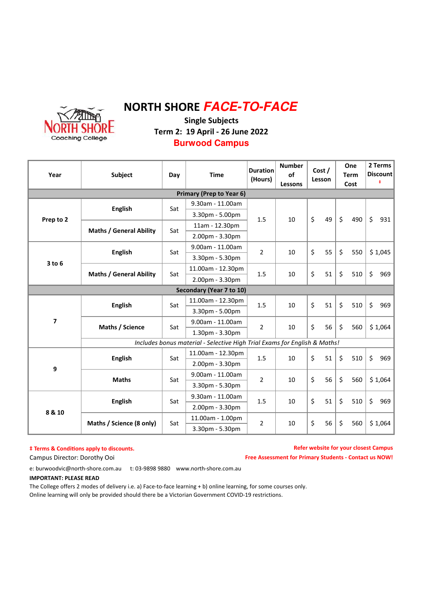

# NORTH SHORE **FACE-TO-FACE**

Single Subjects Term 2: 19 April - 26 June 2022 **Burwood Campus**

| Year                            | Subject                                                                   | Day | <b>Time</b>              | <b>Duration</b><br>(Hours) | <b>Number</b><br><b>of</b><br>Lessons | Cost /<br>Lesson |    | One<br><b>Term</b><br>Cost |     | 2 Terms<br>Discount<br>ŧ. |     |
|---------------------------------|---------------------------------------------------------------------------|-----|--------------------------|----------------------------|---------------------------------------|------------------|----|----------------------------|-----|---------------------------|-----|
| <b>Primary (Prep to Year 6)</b> |                                                                           |     |                          |                            |                                       |                  |    |                            |     |                           |     |
| Prep to 2                       | <b>English</b>                                                            | Sat | 9.30am - 11.00am         | 1.5                        | 10                                    | \$               | 49 |                            |     |                           |     |
|                                 |                                                                           |     | 3.30pm - 5.00pm          |                            |                                       |                  |    | $\zeta$                    | 490 | \$                        |     |
|                                 | <b>Maths / General Ability</b>                                            | Sat | 11am - 12.30pm           |                            |                                       |                  |    |                            |     |                           | 931 |
|                                 |                                                                           |     | 2.00pm - 3.30pm          |                            |                                       |                  |    |                            |     |                           |     |
| $3$ to $6$                      | <b>English</b>                                                            | Sat | 9.00am - 11.00am         | $\overline{2}$             | 10                                    | \$               | 55 | \$                         | 550 | \$1,045                   |     |
|                                 |                                                                           |     | 3.30pm - 5.30pm          |                            |                                       |                  |    |                            |     |                           |     |
|                                 |                                                                           | Sat | 11.00am - 12.30pm        | 1.5                        | 10                                    | \$               | 51 | \$                         | 510 | \$                        | 969 |
|                                 | <b>Maths / General Ability</b>                                            |     | 2.00pm - 3.30pm          |                            |                                       |                  |    |                            |     |                           |     |
|                                 |                                                                           |     | Secondary (Year 7 to 10) |                            |                                       |                  |    |                            |     |                           |     |
| 7                               | <b>English</b>                                                            | Sat | 11.00am - 12.30pm        | 1.5                        | 10                                    | \$               | 51 | $\zeta$                    | 510 | \$<br>969                 |     |
|                                 |                                                                           |     | 3.30pm - 5.00pm          |                            |                                       |                  |    |                            |     |                           |     |
|                                 | Maths / Science                                                           | Sat | 9.00am - 11.00am         | $\overline{2}$             | 10                                    | \$               | 56 | $\zeta$                    | 560 | \$1,064                   |     |
|                                 |                                                                           |     | 1.30pm - 3.30pm          |                            |                                       |                  |    |                            |     |                           |     |
|                                 | Includes bonus material - Selective High Trial Exams for English & Maths! |     |                          |                            |                                       |                  |    |                            |     |                           |     |
| 9                               | <b>English</b>                                                            | Sat | 11.00am - 12.30pm        | 1.5                        | 10                                    | \$               | 51 | $\zeta$                    | 510 | \$                        | 969 |
|                                 |                                                                           |     | 2.00pm - 3.30pm          |                            |                                       |                  |    |                            |     |                           |     |
|                                 | <b>Maths</b>                                                              | Sat | 9.00am - 11.00am         | $\overline{2}$             | 10                                    | \$               | 56 | \$                         | 560 | \$1,064                   |     |
|                                 |                                                                           |     | 3.30pm - 5.30pm          |                            |                                       |                  |    |                            |     |                           |     |
| 8 & 10                          | <b>English</b>                                                            | Sat | 9.30am - 11.00am         | 1.5                        | 10                                    | \$               | 51 | \$                         | 510 | \$<br>969                 |     |
|                                 |                                                                           |     | 2.00pm - 3.30pm          |                            |                                       |                  |    |                            |     |                           |     |
|                                 | Maths / Science (8 only)                                                  | Sat | 11.00am - 1.00pm         | $\overline{2}$             | 10                                    | \$               | 56 | \$                         | 560 | \$1,064                   |     |
|                                 |                                                                           |     | 3.30pm - 5.30pm          |                            |                                       |                  |    |                            |     |                           |     |

#### $\dagger$  Terms & Conditions apply to discounts.

Refer website for your closest Campus Free Assessment for Primary Students - Contact us NOW!

Campus Director: Dorothy Ooi

e: burwoodvic@north-shore.com.au t: 03-9898 9880 www.north-shore.com.au

#### IMPORTANT: PLEASE READ

The College offers 2 modes of delivery i.e. a) Face-to-face learning + b) online learning, for some courses only. Online learning will only be provided should there be a Victorian Government COVID-19 restrictions.